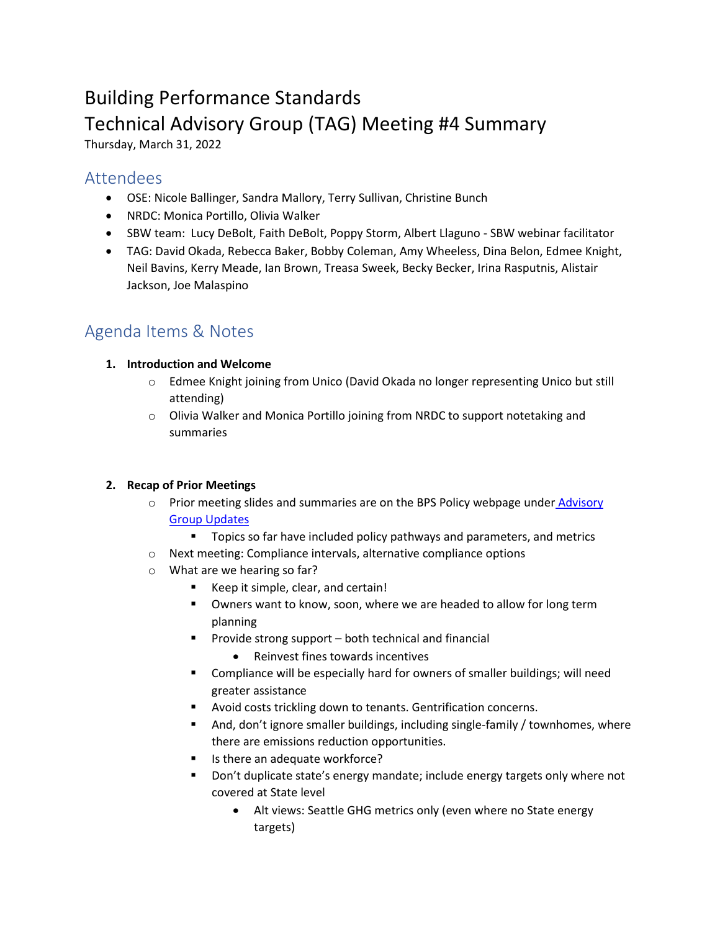# Building Performance Standards Technical Advisory Group (TAG) Meeting #4 Summary

Thursday, March 31, 2022

### Attendees

- OSE: Nicole Ballinger, Sandra Mallory, Terry Sullivan, Christine Bunch
- NRDC: Monica Portillo, Olivia Walker
- SBW team: Lucy DeBolt, Faith DeBolt, Poppy Storm, Albert Llaguno SBW webinar facilitator
- TAG: David Okada, Rebecca Baker, Bobby Coleman, Amy Wheeless, Dina Belon, Edmee Knight, Neil Bavins, Kerry Meade, Ian Brown, Treasa Sweek, Becky Becker, Irina Rasputnis, Alistair Jackson, Joe Malaspino

## Agenda Items & Notes

#### **1. Introduction and Welcome**

- o Edmee Knight joining from Unico (David Okada no longer representing Unico but still attending)
- $\circ$  Olivia Walker and Monica Portillo joining from NRDC to support notetaking and summaries

#### **2. Recap of Prior Meetings**

- o Prior meeting slides and summaries are on the BPS Policy webpage under **Advisory** [Group Updates](https://www.seattle.gov/environment/climate-change/buildings-and-energy/building-performance-standards/bps-policy-development#stakeholder)
	- **Topics so far have included policy pathways and parameters, and metrics**
- o Next meeting: Compliance intervals, alternative compliance options
- o What are we hearing so far?
	- Keep it simple, clear, and certain!
	- Owners want to know, soon, where we are headed to allow for long term planning
	- Provide strong support both technical and financial
		- Reinvest fines towards incentives
	- Compliance will be especially hard for owners of smaller buildings; will need greater assistance
	- Avoid costs trickling down to tenants. Gentrification concerns.
	- And, don't ignore smaller buildings, including single-family / townhomes, where there are emissions reduction opportunities.
	- Is there an adequate workforce?
	- Don't duplicate state's energy mandate; include energy targets only where not covered at State level
		- Alt views: Seattle GHG metrics only (even where no State energy targets)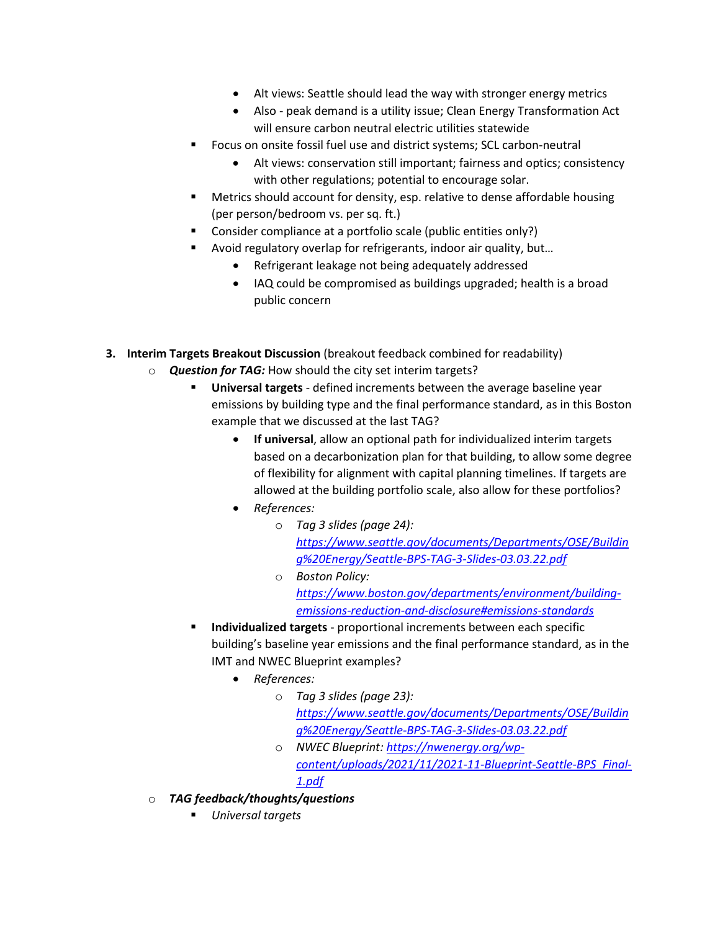- Alt views: Seattle should lead the way with stronger energy metrics
- Also peak demand is a utility issue; Clean Energy Transformation Act will ensure carbon neutral electric utilities statewide
- Focus on onsite fossil fuel use and district systems; SCL carbon-neutral
	- Alt views: conservation still important; fairness and optics; consistency with other regulations; potential to encourage solar.
- Metrics should account for density, esp. relative to dense affordable housing (per person/bedroom vs. per sq. ft.)
- Consider compliance at a portfolio scale (public entities only?)
- Avoid regulatory overlap for refrigerants, indoor air quality, but…
	- Refrigerant leakage not being adequately addressed
	- IAQ could be compromised as buildings upgraded; health is a broad public concern
- **3. Interim Targets Breakout Discussion** (breakout feedback combined for readability)
	- o *Question for TAG:* How should the city set interim targets?
		- **Universal targets** defined increments between the average baseline year emissions by building type and the final performance standard, as in this Boston example that we discussed at the last TAG?
			- **If universal**, allow an optional path for individualized interim targets based on a decarbonization plan for that building, to allow some degree of flexibility for alignment with capital planning timelines. If targets are allowed at the building portfolio scale, also allow for these portfolios?
			- *References:* 
				- o *Tag 3 slides (page 24): [https://www.seattle.gov/documents/Departments/OSE/Buildin](https://www.seattle.gov/documents/Departments/OSE/Building%20Energy/Seattle-BPS-TAG-3-Slides-03.03.22.pdf) [g%20Energy/Seattle-BPS-TAG-3-Slides-03.03.22.pdf](https://www.seattle.gov/documents/Departments/OSE/Building%20Energy/Seattle-BPS-TAG-3-Slides-03.03.22.pdf)*
				- o *Boston Policy: [https://www.boston.gov/departments/environment/building](https://www.boston.gov/departments/environment/building-emissions-reduction-and-disclosure#emissions-standards)[emissions-reduction-and-disclosure#emissions-standards](https://www.boston.gov/departments/environment/building-emissions-reduction-and-disclosure#emissions-standards)*
		- **Individualized targets** proportional increments between each specific building's baseline year emissions and the final performance standard, as in the IMT and NWEC Blueprint examples?
			- *References:*
				- o *Tag 3 slides (page 23): [https://www.seattle.gov/documents/Departments/OSE/Buildin](https://www.seattle.gov/documents/Departments/OSE/Building%20Energy/Seattle-BPS-TAG-3-Slides-03.03.22.pdf) [g%20Energy/Seattle-BPS-TAG-3-Slides-03.03.22.pdf](https://www.seattle.gov/documents/Departments/OSE/Building%20Energy/Seattle-BPS-TAG-3-Slides-03.03.22.pdf)*
				- o *NWEC Blueprint[: https://nwenergy.org/wp](https://nwenergy.org/wp-content/uploads/2021/11/2021-11-Blueprint-Seattle-BPS_Final-1.pdf)[content/uploads/2021/11/2021-11-Blueprint-Seattle-BPS\\_Final-](https://nwenergy.org/wp-content/uploads/2021/11/2021-11-Blueprint-Seattle-BPS_Final-1.pdf)[1.pdf](https://nwenergy.org/wp-content/uploads/2021/11/2021-11-Blueprint-Seattle-BPS_Final-1.pdf)*
	- o *TAG feedback/thoughts/questions*
		- *Universal targets*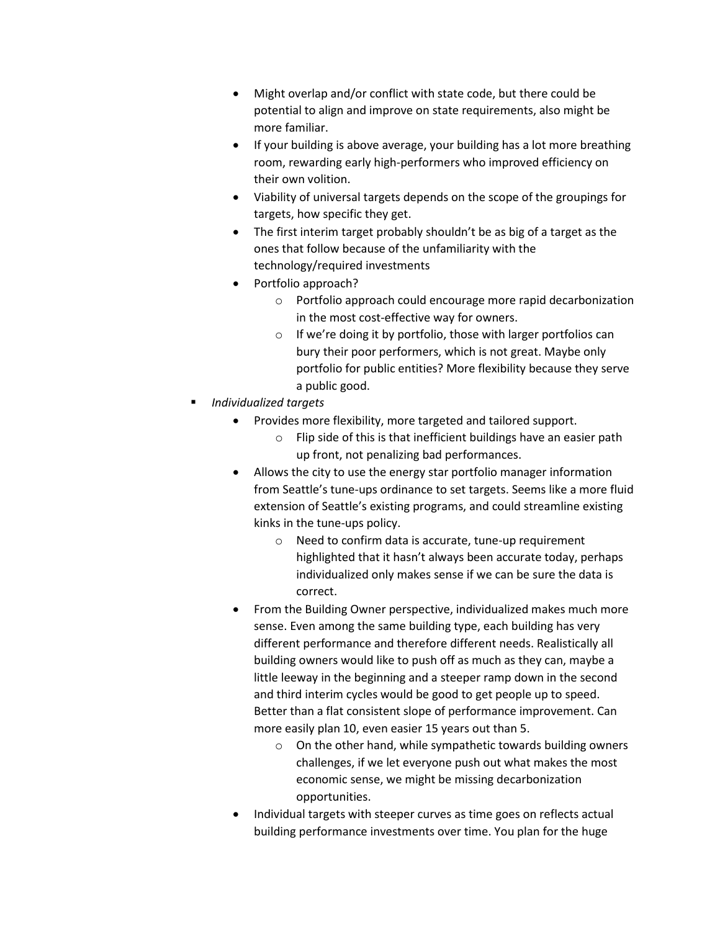- Might overlap and/or conflict with state code, but there could be potential to align and improve on state requirements, also might be more familiar.
- If your building is above average, your building has a lot more breathing room, rewarding early high-performers who improved efficiency on their own volition.
- Viability of universal targets depends on the scope of the groupings for targets, how specific they get.
- The first interim target probably shouldn't be as big of a target as the ones that follow because of the unfamiliarity with the technology/required investments
- Portfolio approach?
	- o Portfolio approach could encourage more rapid decarbonization in the most cost-effective way for owners.
	- o If we're doing it by portfolio, those with larger portfolios can bury their poor performers, which is not great. Maybe only portfolio for public entities? More flexibility because they serve a public good.
- *Individualized targets*
	- Provides more flexibility, more targeted and tailored support.
		- o Flip side of this is that inefficient buildings have an easier path up front, not penalizing bad performances.
	- Allows the city to use the energy star portfolio manager information from Seattle's tune-ups ordinance to set targets. Seems like a more fluid extension of Seattle's existing programs, and could streamline existing kinks in the tune-ups policy.
		- o Need to confirm data is accurate, tune-up requirement highlighted that it hasn't always been accurate today, perhaps individualized only makes sense if we can be sure the data is correct.
	- From the Building Owner perspective, individualized makes much more sense. Even among the same building type, each building has very different performance and therefore different needs. Realistically all building owners would like to push off as much as they can, maybe a little leeway in the beginning and a steeper ramp down in the second and third interim cycles would be good to get people up to speed. Better than a flat consistent slope of performance improvement. Can more easily plan 10, even easier 15 years out than 5.
		- o On the other hand, while sympathetic towards building owners challenges, if we let everyone push out what makes the most economic sense, we might be missing decarbonization opportunities.
	- Individual targets with steeper curves as time goes on reflects actual building performance investments over time. You plan for the huge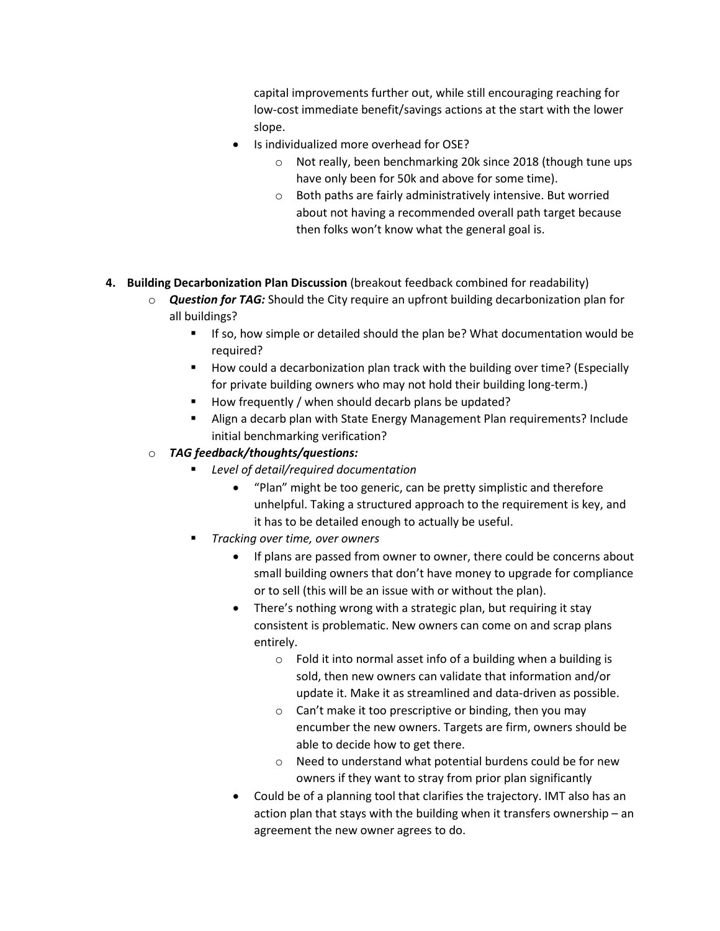capital improvements further out, while still encouraging reaching for low-cost immediate benefit/savings actions at the start with the lower slope.

- Is individualized more overhead for OSE?
	- o Not really, been benchmarking 20k since 2018 (though tune ups have only been for 50k and above for some time).
	- o Both paths are fairly administratively intensive. But worried about not having a recommended overall path target because then folks won't know what the general goal is.
- **4. Building Decarbonization Plan Discussion** (breakout feedback combined for readability)
	- o *Question for TAG:* Should the City require an upfront building decarbonization plan for all buildings?
		- If so, how simple or detailed should the plan be? What documentation would be required?
		- **How could a decarbonization plan track with the building over time? (Especially** for private building owners who may not hold their building long-term.)
		- How frequently / when should decarb plans be updated?
		- Align a decarb plan with State Energy Management Plan requirements? Include initial benchmarking verification?

#### o *TAG feedback/thoughts/questions:*

- *Level of detail/required documentation*
	- "Plan" might be too generic, can be pretty simplistic and therefore unhelpful. Taking a structured approach to the requirement is key, and it has to be detailed enough to actually be useful.
- *Tracking over time, over owners*
	- If plans are passed from owner to owner, there could be concerns about small building owners that don't have money to upgrade for compliance or to sell (this will be an issue with or without the plan).
	- There's nothing wrong with a strategic plan, but requiring it stay consistent is problematic. New owners can come on and scrap plans entirely.
		- o Fold it into normal asset info of a building when a building is sold, then new owners can validate that information and/or update it. Make it as streamlined and data-driven as possible.
		- $\circ$  Can't make it too prescriptive or binding, then you may encumber the new owners. Targets are firm, owners should be able to decide how to get there.
		- o Need to understand what potential burdens could be for new owners if they want to stray from prior plan significantly
	- Could be of a planning tool that clarifies the trajectory. IMT also has an action plan that stays with the building when it transfers ownership – an agreement the new owner agrees to do.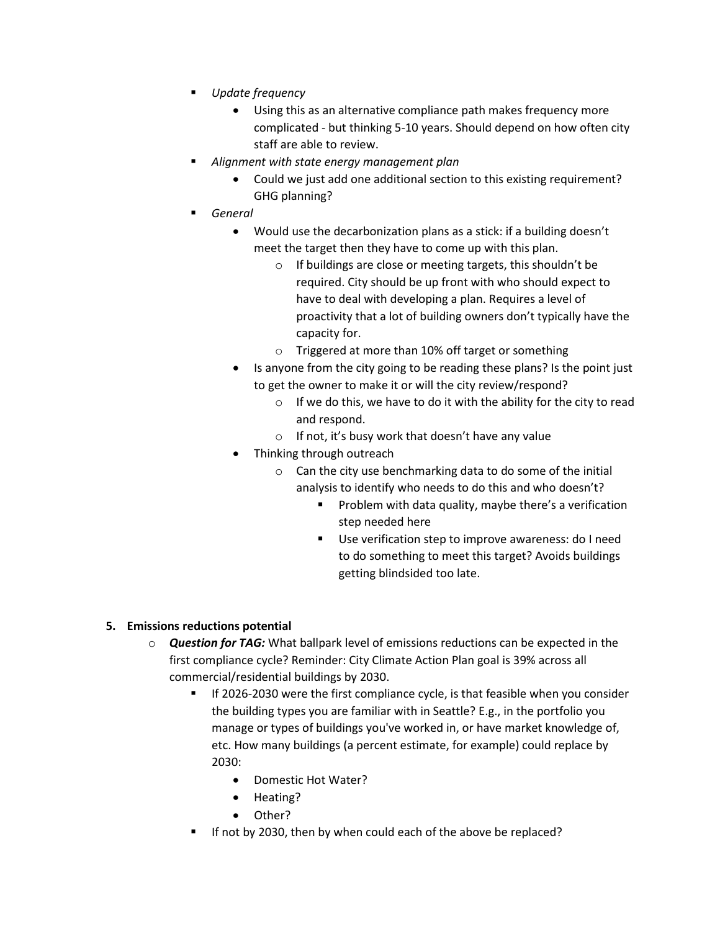- *Update frequency*
	- Using this as an alternative compliance path makes frequency more complicated - but thinking 5-10 years. Should depend on how often city staff are able to review.
- *Alignment with state energy management plan*
	- Could we just add one additional section to this existing requirement? GHG planning?
- *General*
	- Would use the decarbonization plans as a stick: if a building doesn't meet the target then they have to come up with this plan.
		- o If buildings are close or meeting targets, this shouldn't be required. City should be up front with who should expect to have to deal with developing a plan. Requires a level of proactivity that a lot of building owners don't typically have the capacity for.
		- o Triggered at more than 10% off target or something
	- Is anyone from the city going to be reading these plans? Is the point just to get the owner to make it or will the city review/respond?
		- o If we do this, we have to do it with the ability for the city to read and respond.
		- o If not, it's busy work that doesn't have any value
	- Thinking through outreach
		- o Can the city use benchmarking data to do some of the initial analysis to identify who needs to do this and who doesn't?
			- **Problem with data quality, maybe there's a verification** step needed here
			- Use verification step to improve awareness: do I need to do something to meet this target? Avoids buildings getting blindsided too late.

#### **5. Emissions reductions potential**

- o *Question for TAG:* What ballpark level of emissions reductions can be expected in the first compliance cycle? Reminder: City Climate Action Plan goal is 39% across all commercial/residential buildings by 2030.
	- If 2026-2030 were the first compliance cycle, is that feasible when you consider the building types you are familiar with in Seattle? E.g., in the portfolio you manage or types of buildings you've worked in, or have market knowledge of, etc. How many buildings (a percent estimate, for example) could replace by 2030:
		- Domestic Hot Water?
		- Heating?
		- Other?
	- If not by 2030, then by when could each of the above be replaced?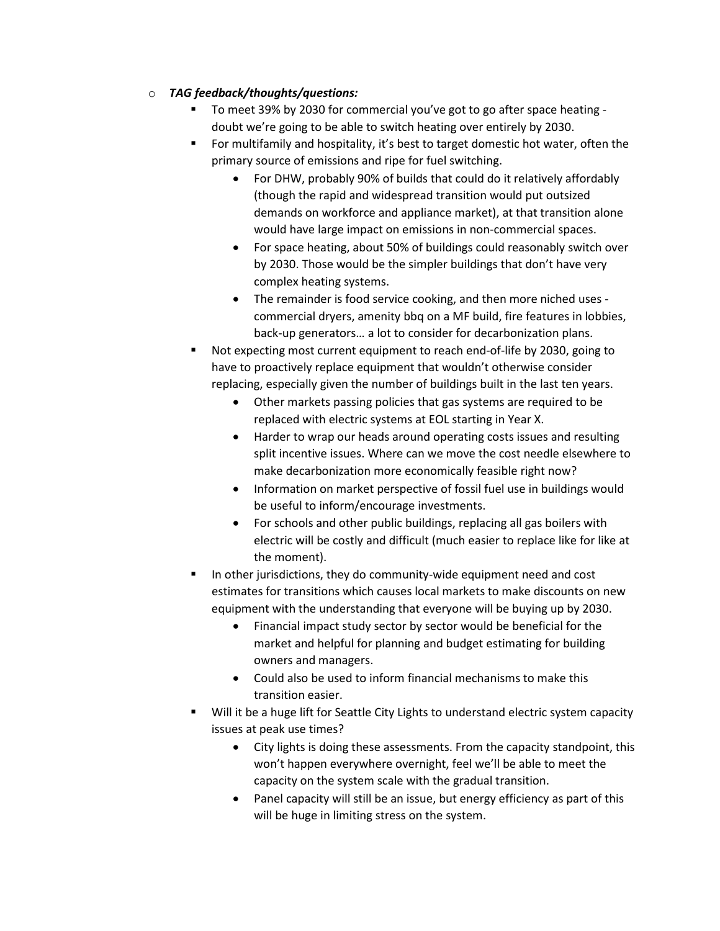#### o *TAG feedback/thoughts/questions:*

- To meet 39% by 2030 for commercial you've got to go after space heating doubt we're going to be able to switch heating over entirely by 2030.
- For multifamily and hospitality, it's best to target domestic hot water, often the primary source of emissions and ripe for fuel switching.
	- For DHW, probably 90% of builds that could do it relatively affordably (though the rapid and widespread transition would put outsized demands on workforce and appliance market), at that transition alone would have large impact on emissions in non-commercial spaces.
	- For space heating, about 50% of buildings could reasonably switch over by 2030. Those would be the simpler buildings that don't have very complex heating systems.
	- The remainder is food service cooking, and then more niched uses commercial dryers, amenity bbq on a MF build, fire features in lobbies, back-up generators… a lot to consider for decarbonization plans.
- Not expecting most current equipment to reach end-of-life by 2030, going to have to proactively replace equipment that wouldn't otherwise consider replacing, especially given the number of buildings built in the last ten years.
	- Other markets passing policies that gas systems are required to be replaced with electric systems at EOL starting in Year X.
	- Harder to wrap our heads around operating costs issues and resulting split incentive issues. Where can we move the cost needle elsewhere to make decarbonization more economically feasible right now?
	- Information on market perspective of fossil fuel use in buildings would be useful to inform/encourage investments.
	- For schools and other public buildings, replacing all gas boilers with electric will be costly and difficult (much easier to replace like for like at the moment).
- In other jurisdictions, they do community-wide equipment need and cost estimates for transitions which causes local markets to make discounts on new equipment with the understanding that everyone will be buying up by 2030.
	- Financial impact study sector by sector would be beneficial for the market and helpful for planning and budget estimating for building owners and managers.
	- Could also be used to inform financial mechanisms to make this transition easier.
- Will it be a huge lift for Seattle City Lights to understand electric system capacity issues at peak use times?
	- City lights is doing these assessments. From the capacity standpoint, this won't happen everywhere overnight, feel we'll be able to meet the capacity on the system scale with the gradual transition.
	- Panel capacity will still be an issue, but energy efficiency as part of this will be huge in limiting stress on the system.